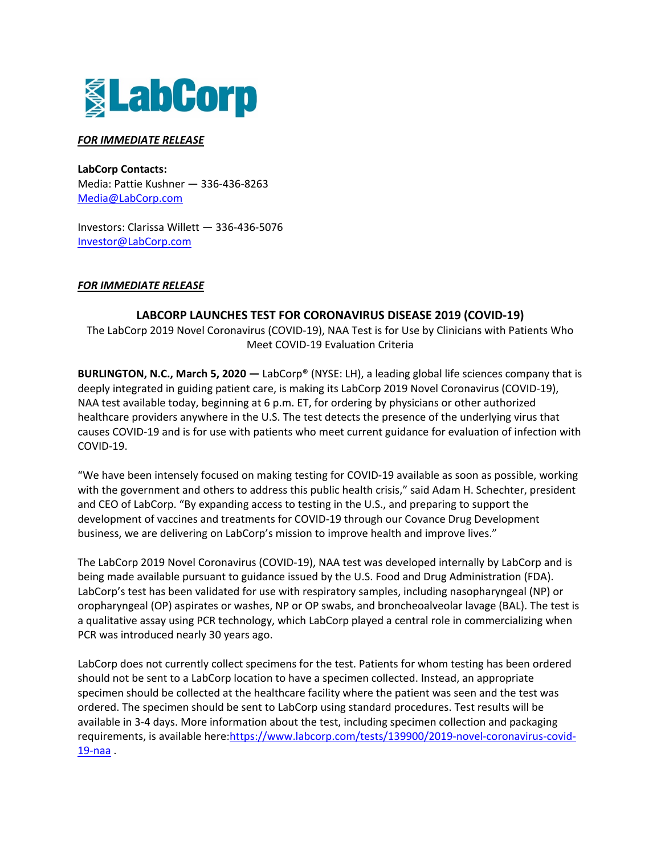

## *FOR IMMEDIATE RELEASE*

**LabCorp Contacts:** Media: Pattie Kushner — 336-436-8263 [Media@LabCorp.com](mailto:Media@LabCorp.com)

Investors: Clarissa Willett — 336-436-5076 [Investor@LabCorp.com](mailto:Investor@LabCorp.com)

### *FOR IMMEDIATE RELEASE*

### **LABCORP LAUNCHES TEST FOR CORONAVIRUS DISEASE 2019 (COVID-19)**

The LabCorp 2019 Novel Coronavirus (COVID-19), NAA Test is for Use by Clinicians with Patients Who Meet COVID-19 Evaluation Criteria

**BURLINGTON, N.C., March 5, 2020 —** LabCorp® (NYSE: LH), a leading global life sciences company that is deeply integrated in guiding patient care, is making its LabCorp 2019 Novel Coronavirus (COVID-19), NAA test available today, beginning at 6 p.m. ET, for ordering by physicians or other authorized healthcare providers anywhere in the U.S. The test detects the presence of the underlying virus that causes COVID-19 and is for use with patients who meet current guidance for evaluation of infection with COVID-19.

"We have been intensely focused on making testing for COVID-19 available as soon as possible, working with the government and others to address this public health crisis," said Adam H. Schechter, president and CEO of LabCorp. "By expanding access to testing in the U.S., and preparing to support the development of vaccines and treatments for COVID-19 through our Covance Drug Development business, we are delivering on LabCorp's mission to improve health and improve lives."

The LabCorp 2019 Novel Coronavirus (COVID-19), NAA test was developed internally by LabCorp and is being made available pursuant to guidance issued by the U.S. Food and Drug Administration (FDA). LabCorp's test has been validated for use with respiratory samples, including nasopharyngeal (NP) or oropharyngeal (OP) aspirates or washes, NP or OP swabs, and broncheoalveolar lavage (BAL). The test is a qualitative assay using PCR technology, which LabCorp played a central role in commercializing when PCR was introduced nearly 30 years ago.

LabCorp does not currently collect specimens for the test. Patients for whom testing has been ordered should not be sent to a LabCorp location to have a specimen collected. Instead, an appropriate specimen should be collected at the healthcare facility where the patient was seen and the test was ordered. The specimen should be sent to LabCorp using standard procedures. Test results will be available in 3-4 days. More information about the test, including specimen collection and packaging requirements, is available here[:https://www.labcorp.com/tests/139900/2019-novel-coronavirus-covid-](https://www.labcorp.com/tests/139900/2019-novel-coronavirus-covid-19-naa)[19-naa](https://www.labcorp.com/tests/139900/2019-novel-coronavirus-covid-19-naa) .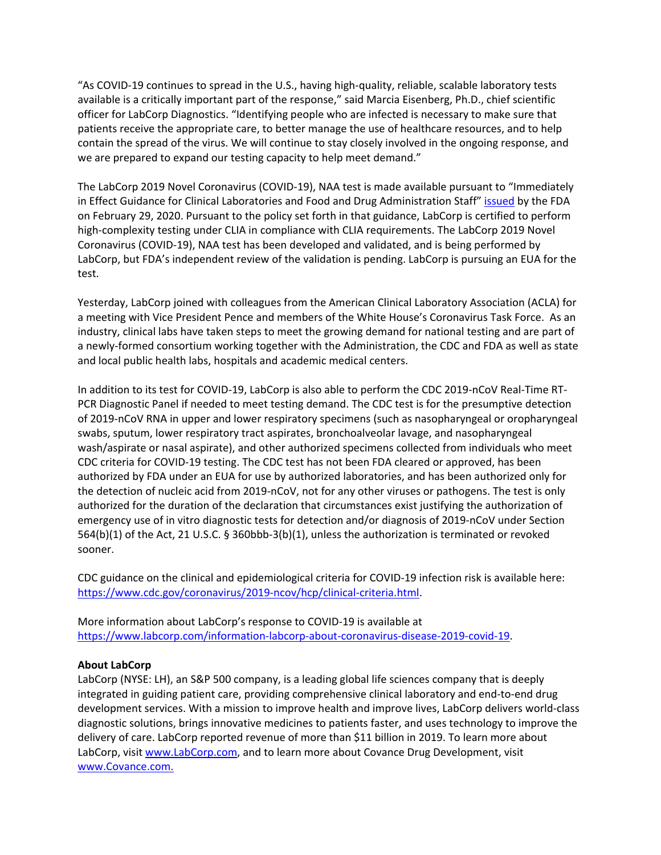"As COVID-19 continues to spread in the U.S., having high-quality, reliable, scalable laboratory tests available is a critically important part of the response," said Marcia Eisenberg, Ph.D., chief scientific officer for LabCorp Diagnostics. "Identifying people who are infected is necessary to make sure that patients receive the appropriate care, to better manage the use of healthcare resources, and to help contain the spread of the virus. We will continue to stay closely involved in the ongoing response, and we are prepared to expand our testing capacity to help meet demand."

The LabCorp 2019 Novel Coronavirus (COVID-19), NAA test is made available pursuant to "Immediately in Effect Guidance for Clinical Laboratories and Food and Drug Administration Staff[" issued](https://www.fda.gov/media/135659/download) by the FDA on February 29, 2020. Pursuant to the policy set forth in that guidance, LabCorp is certified to perform high-complexity testing under CLIA in compliance with CLIA requirements. The LabCorp 2019 Novel Coronavirus (COVID-19), NAA test has been developed and validated, and is being performed by LabCorp, but FDA's independent review of the validation is pending. LabCorp is pursuing an EUA for the test.

Yesterday, LabCorp joined with colleagues from the American Clinical Laboratory Association (ACLA) for a meeting with Vice President Pence and members of the White House's Coronavirus Task Force. As an industry, clinical labs have taken steps to meet the growing demand for national testing and are part of a newly-formed consortium working together with the Administration, the CDC and FDA as well as state and local public health labs, hospitals and academic medical centers.

In addition to its test for COVID-19, LabCorp is also able to perform the CDC 2019-nCoV Real-Time RT-PCR Diagnostic Panel if needed to meet testing demand. The CDC test is for the presumptive detection of 2019-nCoV RNA in upper and lower respiratory specimens (such as nasopharyngeal or oropharyngeal swabs, sputum, lower respiratory tract aspirates, bronchoalveolar lavage, and nasopharyngeal wash/aspirate or nasal aspirate), and other authorized specimens collected from individuals who meet CDC criteria for COVID-19 testing. The CDC test has not been FDA cleared or approved, has been authorized by FDA under an EUA for use by authorized laboratories, and has been authorized only for the detection of nucleic acid from 2019-nCoV, not for any other viruses or pathogens. The test is only authorized for the duration of the declaration that circumstances exist justifying the authorization of emergency use of in vitro diagnostic tests for detection and/or diagnosis of 2019-nCoV under Section 564(b)(1) of the Act, 21 U.S.C. § 360bbb-3(b)(1), unless the authorization is terminated or revoked sooner.

CDC guidance on the clinical and epidemiological criteria for COVID-19 infection risk is available here: [https://www.cdc.gov/coronavirus/2019-ncov/hcp/clinical-criteria.html.](https://www.cdc.gov/coronavirus/2019-ncov/hcp/clinical-criteria.html)

More information about LabCorp's response to COVID-19 is available at [https://www.labcorp.com/information-labcorp-about-coronavirus-disease-2019-covid-19.](https://www.labcorp.com/information-labcorp-about-coronavirus-disease-2019-covid-19)

# **About LabCorp**

LabCorp (NYSE: LH), an S&P 500 company, is a leading global life sciences company that is deeply integrated in guiding patient care, providing comprehensive clinical laboratory and end-to-end drug development services. With a mission to improve health and improve lives, LabCorp delivers world-class diagnostic solutions, brings innovative medicines to patients faster, and uses technology to improve the delivery of care. LabCorp reported revenue of more than \$11 billion in 2019. To learn more about LabCorp, visi[t www.LabCorp.com,](http://www.labcorp.com/) and to learn more about Covance Drug Development, visit [www.Covance.com.](http://www.covance.com/)